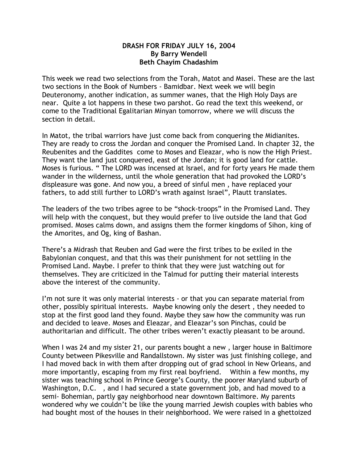## **DRASH FOR FRIDAY JULY 16, 2004 By Barry Wendell Beth Chayim Chadashim**

This week we read two selections from the Torah, Matot and Masei. These are the last two sections in the Book of Numbers - Bamidbar. Next week we will begin Deuteronomy, another indication, as summer wanes, that the High Holy Days are near. Quite a lot happens in these two parshot. Go read the text this weekend, or come to the Traditional Egalitarian Minyan tomorrow, where we will discuss the section in detail.

In Matot, the tribal warriors have just come back from conquering the Midianites. They are ready to cross the Jordan and conquer the Promised Land. In chapter 32, the Reubenites and the Gaddites come to Moses and Eleazar, who is now the High Priest. They want the land just conquered, east of the Jordan; it is good land for cattle. Moses is furious. " The LORD was incensed at Israel, and for forty years He made them wander in the wilderness, until the whole generation that had provoked the LORD's displeasure was gone. And now you, a breed of sinful men , have replaced your fathers, to add still further to LORD's wrath against Israel", Plautt translates.

The leaders of the two tribes agree to be "shock-troops" in the Promised Land. They will help with the conquest, but they would prefer to live outside the land that God promised. Moses calms down, and assigns them the former kingdoms of Sihon, king of the Amorites, and Og, king of Bashan.

There's a Midrash that Reuben and Gad were the first tribes to be exiled in the Babylonian conquest, and that this was their punishment for not settling in the Promised Land. Maybe. I prefer to think that they were just watching out for themselves. They are criticized in the Talmud for putting their material interests above the interest of the community.

I'm not sure it was only material interests - or that you can separate material from other, possibly spiritual interests. Maybe knowing only the desert , they needed to stop at the first good land they found. Maybe they saw how the community was run and decided to leave. Moses and Eleazar, and Eleazar's son Pinchas, could be authoritarian and difficult. The other tribes weren't exactly pleasant to be around.

When I was 24 and my sister 21, our parents bought a new , larger house in Baltimore County between Pikesville and Randallstown. My sister was just finishing college, and I had moved back in with them after dropping out of grad school in New Orleans, and more importantly, escaping from my first real boyfriend. Within a few months, my sister was teaching school in Prince George's County, the poorer Maryland suburb of Washington, D.C. , and I had secured a state government job, and had moved to a semi- Bohemian, partly gay neighborhood near downtown Baltimore. My parents wondered why we couldn't be like the young married Jewish couples with babies who had bought most of the houses in their neighborhood. We were raised in a ghettoized